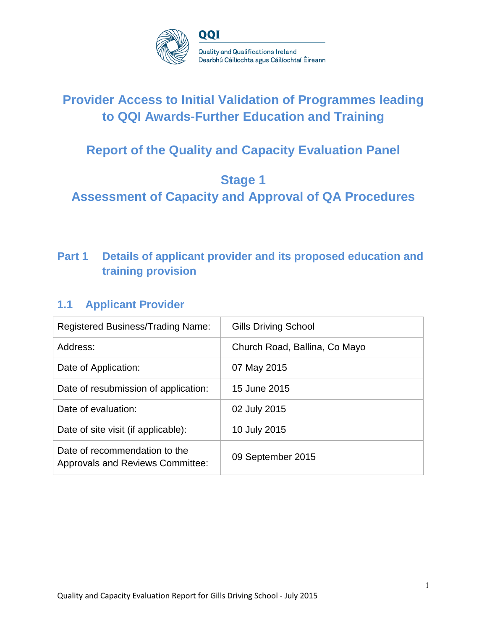

# **Provider Access to Initial Validation of Programmes leading to QQI Awards-Further Education and Training**

# **Report of the Quality and Capacity Evaluation Panel**

# **Stage 1**

**Assessment of Capacity and Approval of QA Procedures**

# **Part 1 Details of applicant provider and its proposed education and training provision**

# **1.1 Applicant Provider**

| <b>Registered Business/Trading Name:</b>                                 | <b>Gills Driving School</b>   |
|--------------------------------------------------------------------------|-------------------------------|
| Address:                                                                 | Church Road, Ballina, Co Mayo |
| Date of Application:                                                     | 07 May 2015                   |
| Date of resubmission of application:                                     | 15 June 2015                  |
| Date of evaluation:                                                      | 02 July 2015                  |
| Date of site visit (if applicable):                                      | 10 July 2015                  |
| Date of recommendation to the<br><b>Approvals and Reviews Committee:</b> | 09 September 2015             |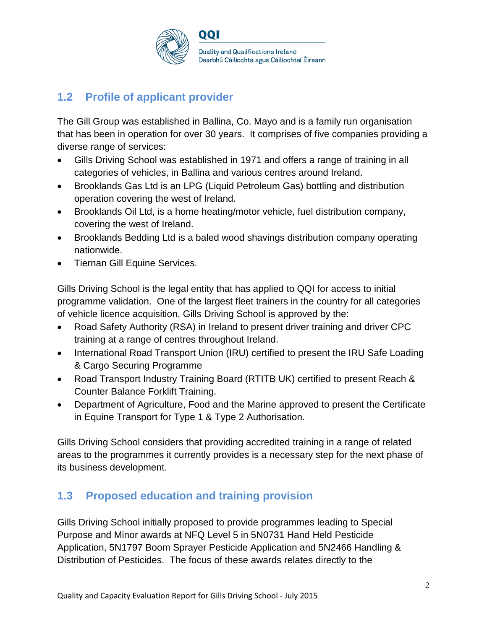

# **1.2 Profile of applicant provider**

The Gill Group was established in Ballina, Co. Mayo and is a family run organisation that has been in operation for over 30 years. It comprises of five companies providing a diverse range of services:

- Gills Driving School was established in 1971 and offers a range of training in all categories of vehicles, in Ballina and various centres around Ireland.
- Brooklands Gas Ltd is an LPG (Liquid Petroleum Gas) bottling and distribution operation covering the west of Ireland.
- Brooklands Oil Ltd, is a home heating/motor vehicle, fuel distribution company, covering the west of Ireland.
- Brooklands Bedding Ltd is a baled wood shavings distribution company operating nationwide.
- Tiernan Gill Equine Services.

Gills Driving School is the legal entity that has applied to QQI for access to initial programme validation. One of the largest fleet trainers in the country for all categories of vehicle licence acquisition, Gills Driving School is approved by the:

- Road Safety Authority (RSA) in Ireland to present driver training and driver CPC training at a range of centres throughout Ireland.
- International Road Transport Union (IRU) certified to present the IRU Safe Loading & Cargo Securing Programme
- Road Transport Industry Training Board (RTITB UK) certified to present Reach & Counter Balance Forklift Training.
- Department of Agriculture, Food and the Marine approved to present the Certificate in Equine Transport for Type 1 & Type 2 Authorisation.

Gills Driving School considers that providing accredited training in a range of related areas to the programmes it currently provides is a necessary step for the next phase of its business development.

# **1.3 Proposed education and training provision**

Gills Driving School initially proposed to provide programmes leading to Special Purpose and Minor awards at NFQ Level 5 in 5N0731 Hand Held Pesticide Application, 5N1797 Boom Sprayer Pesticide Application and 5N2466 Handling & Distribution of Pesticides. The focus of these awards relates directly to the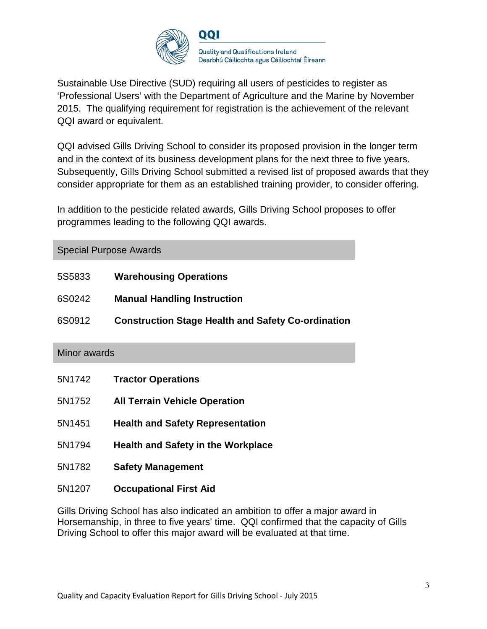

Sustainable Use Directive (SUD) requiring all users of pesticides to register as 'Professional Users' with the Department of Agriculture and the Marine by November 2015. The qualifying requirement for registration is the achievement of the relevant QQI award or equivalent.

QQI advised Gills Driving School to consider its proposed provision in the longer term and in the context of its business development plans for the next three to five years. Subsequently, Gills Driving School submitted a revised list of proposed awards that they consider appropriate for them as an established training provider, to consider offering.

In addition to the pesticide related awards, Gills Driving School proposes to offer programmes leading to the following QQI awards.

| <b>Special Purpose Awards</b> |                                                           |  |  |  |
|-------------------------------|-----------------------------------------------------------|--|--|--|
| 5S5833                        | <b>Warehousing Operations</b>                             |  |  |  |
| 6S0242                        | <b>Manual Handling Instruction</b>                        |  |  |  |
| 6S0912                        | <b>Construction Stage Health and Safety Co-ordination</b> |  |  |  |
| Minor awards                  |                                                           |  |  |  |
|                               |                                                           |  |  |  |
| 5N1742                        | <b>Tractor Operations</b>                                 |  |  |  |
| 5N1752                        | <b>All Terrain Vehicle Operation</b>                      |  |  |  |
| 5N1451                        | <b>Health and Safety Representation</b>                   |  |  |  |
| 5N1794                        | <b>Health and Safety in the Workplace</b>                 |  |  |  |
| 5N1782                        | <b>Safety Management</b>                                  |  |  |  |
| 5N1207                        | <b>Occupational First Aid</b>                             |  |  |  |

Gills Driving School has also indicated an ambition to offer a major award in Horsemanship, in three to five years' time. QQI confirmed that the capacity of Gills Driving School to offer this major award will be evaluated at that time.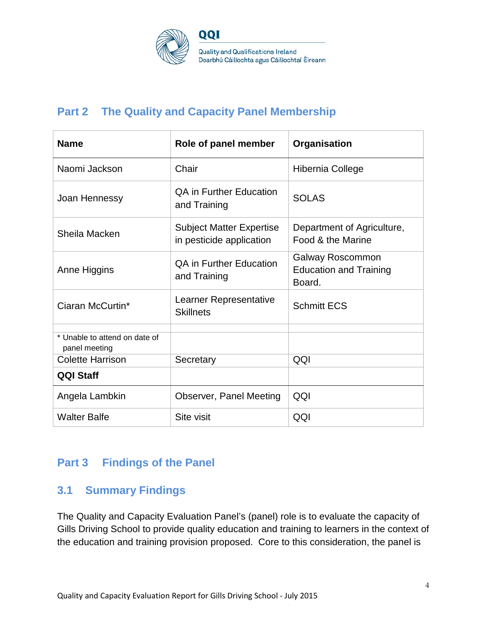

**Quality and Qualifications Ireland** Dearbhú Cáilíochta agus Cáilíochtaí Éireann

# **Part 2 The Quality and Capacity Panel Membership**

QQI

| <b>Name</b>                                    | Role of panel member                                        | Organisation                                                |
|------------------------------------------------|-------------------------------------------------------------|-------------------------------------------------------------|
| Naomi Jackson                                  | Chair                                                       | Hibernia College                                            |
| Joan Hennessy                                  | <b>QA in Further Education</b><br>and Training              | <b>SOLAS</b>                                                |
| Sheila Macken                                  | <b>Subject Matter Expertise</b><br>in pesticide application | Department of Agriculture,<br>Food & the Marine             |
| Anne Higgins                                   | <b>QA in Further Education</b><br>and Training              | Galway Roscommon<br><b>Education and Training</b><br>Board. |
| Ciaran McCurtin*                               | Learner Representative<br><b>Skillnets</b>                  | <b>Schmitt ECS</b>                                          |
| * Unable to attend on date of<br>panel meeting |                                                             |                                                             |
| <b>Colette Harrison</b>                        | Secretary                                                   | QQI                                                         |
| <b>QQI Staff</b>                               |                                                             |                                                             |
| Angela Lambkin                                 | Observer, Panel Meeting                                     | QQI                                                         |
| <b>Walter Balfe</b>                            | Site visit                                                  | QQI                                                         |

# **Part 3 Findings of the Panel**

# **3.1 Summary Findings**

The Quality and Capacity Evaluation Panel's (panel) role is to evaluate the capacity of Gills Driving School to provide quality education and training to learners in the context of the education and training provision proposed. Core to this consideration, the panel is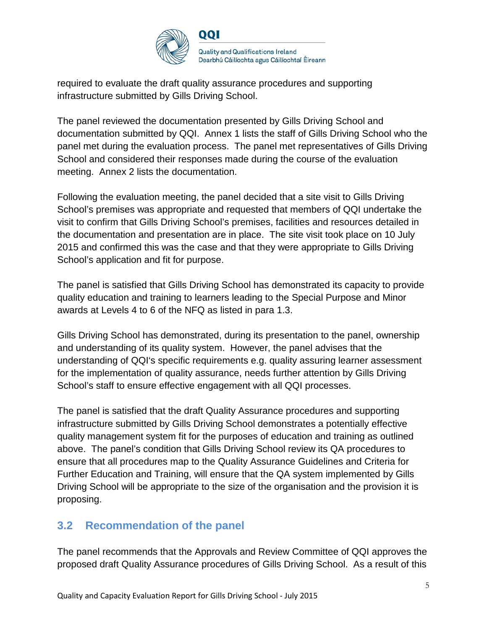

required to evaluate the draft quality assurance procedures and supporting infrastructure submitted by Gills Driving School.

The panel reviewed the documentation presented by Gills Driving School and documentation submitted by QQI. Annex 1 lists the staff of Gills Driving School who the panel met during the evaluation process. The panel met representatives of Gills Driving School and considered their responses made during the course of the evaluation meeting. Annex 2 lists the documentation.

Following the evaluation meeting, the panel decided that a site visit to Gills Driving School's premises was appropriate and requested that members of QQI undertake the visit to confirm that Gills Driving School's premises, facilities and resources detailed in the documentation and presentation are in place. The site visit took place on 10 July 2015 and confirmed this was the case and that they were appropriate to Gills Driving School's application and fit for purpose.

The panel is satisfied that Gills Driving School has demonstrated its capacity to provide quality education and training to learners leading to the Special Purpose and Minor awards at Levels 4 to 6 of the NFQ as listed in para 1.3.

Gills Driving School has demonstrated, during its presentation to the panel, ownership and understanding of its quality system. However, the panel advises that the understanding of QQI's specific requirements e.g. quality assuring learner assessment for the implementation of quality assurance, needs further attention by Gills Driving School's staff to ensure effective engagement with all QQI processes.

The panel is satisfied that the draft Quality Assurance procedures and supporting infrastructure submitted by Gills Driving School demonstrates a potentially effective quality management system fit for the purposes of education and training as outlined above. The panel's condition that Gills Driving School review its QA procedures to ensure that all procedures map to the Quality Assurance Guidelines and Criteria for Further Education and Training, will ensure that the QA system implemented by Gills Driving School will be appropriate to the size of the organisation and the provision it is proposing.

# **3.2 Recommendation of the panel**

The panel recommends that the Approvals and Review Committee of QQI approves the proposed draft Quality Assurance procedures of Gills Driving School. As a result of this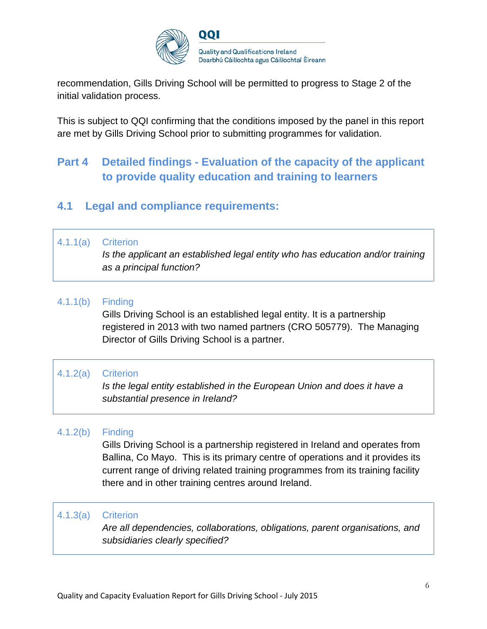

recommendation, Gills Driving School will be permitted to progress to Stage 2 of the initial validation process.

This is subject to QQI confirming that the conditions imposed by the panel in this report are met by Gills Driving School prior to submitting programmes for validation.

# **Part 4 Detailed findings - Evaluation of the capacity of the applicant to provide quality education and training to learners**

# **4.1 Legal and compliance requirements:**

#### 4.1.1(a) Criterion

*Is the applicant an established legal entity who has education and/or training as a principal function?*

#### 4.1.1(b) Finding

Gills Driving School is an established legal entity. It is a partnership registered in 2013 with two named partners (CRO 505779). The Managing Director of Gills Driving School is a partner.

### 4.1.2(a) Criterion

*Is the legal entity established in the European Union and does it have a substantial presence in Ireland?*

### 4.1.2(b) Finding

Gills Driving School is a partnership registered in Ireland and operates from Ballina, Co Mayo. This is its primary centre of operations and it provides its current range of driving related training programmes from its training facility there and in other training centres around Ireland.

#### 4.1.3(a) Criterion

*Are all dependencies, collaborations, obligations, parent organisations, and subsidiaries clearly specified?*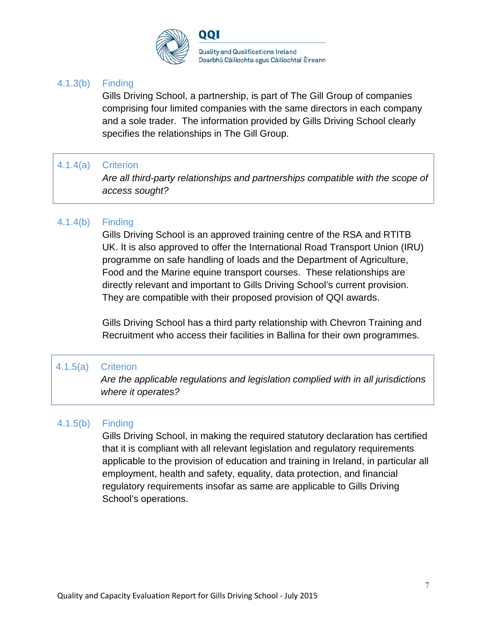

#### 4.1.3(b) Finding

Gills Driving School, a partnership, is part of The Gill Group of companies comprising four limited companies with the same directors in each company and a sole trader. The information provided by Gills Driving School clearly specifies the relationships in The Gill Group.

#### 4.1.4(a) Criterion

*Are all third-party relationships and partnerships compatible with the scope of access sought?*

### 4.1.4(b) Finding

Gills Driving School is an approved training centre of the RSA and RTITB UK. It is also approved to offer the International Road Transport Union (IRU) programme on safe handling of loads and the Department of Agriculture, Food and the Marine equine transport courses. These relationships are directly relevant and important to Gills Driving School's current provision. They are compatible with their proposed provision of QQI awards.

Gills Driving School has a third party relationship with Chevron Training and Recruitment who access their facilities in Ballina for their own programmes.

#### 4.1.5(a) Criterion

*Are the applicable regulations and legislation complied with in all jurisdictions where it operates?*

### 4.1.5(b) Finding

Gills Driving School, in making the required statutory declaration has certified that it is compliant with all relevant legislation and regulatory requirements applicable to the provision of education and training in Ireland, in particular all employment, health and safety, equality, data protection, and financial regulatory requirements insofar as same are applicable to Gills Driving School's operations.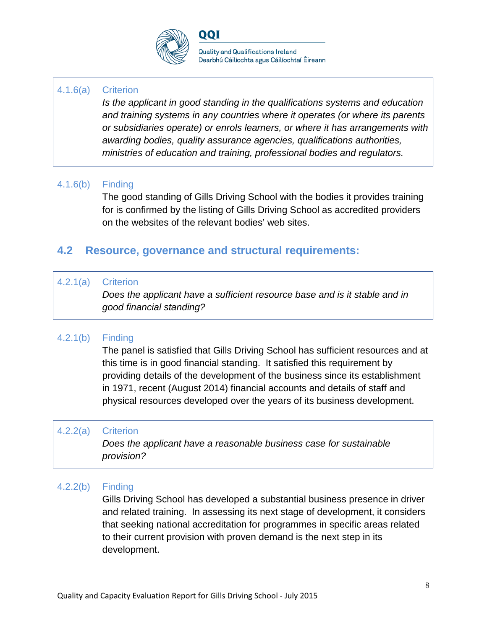

QQI

#### 4.1.6(a) Criterion

*Is the applicant in good standing in the qualifications systems and education and training systems in any countries where it operates (or where its parents or subsidiaries operate) or enrols learners, or where it has arrangements with awarding bodies, quality assurance agencies, qualifications authorities, ministries of education and training, professional bodies and regulators.*

#### 4.1.6(b) Finding

The good standing of Gills Driving School with the bodies it provides training for is confirmed by the listing of Gills Driving School as accredited providers on the websites of the relevant bodies' web sites.

# **4.2 Resource, governance and structural requirements:**

#### 4.2.1(a) Criterion

*Does the applicant have a sufficient resource base and is it stable and in good financial standing?*

### 4.2.1(b) Finding

The panel is satisfied that Gills Driving School has sufficient resources and at this time is in good financial standing. It satisfied this requirement by providing details of the development of the business since its establishment in 1971, recent (August 2014) financial accounts and details of staff and physical resources developed over the years of its business development.

#### 4.2.2(a) Criterion

*Does the applicant have a reasonable business case for sustainable provision?*

#### 4.2.2(b) Finding

Gills Driving School has developed a substantial business presence in driver and related training. In assessing its next stage of development, it considers that seeking national accreditation for programmes in specific areas related to their current provision with proven demand is the next step in its development.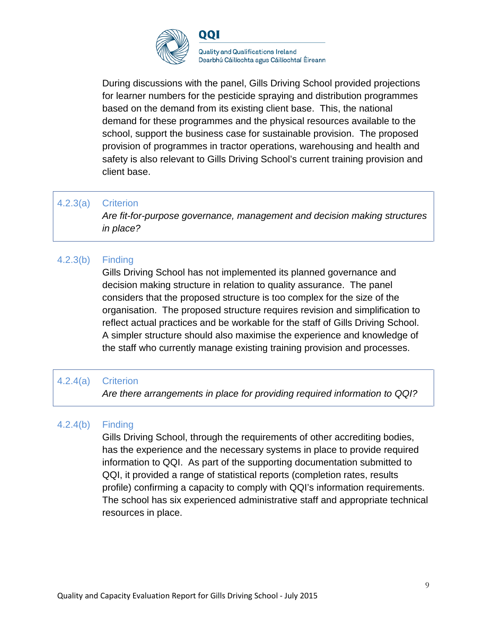

During discussions with the panel, Gills Driving School provided projections for learner numbers for the pesticide spraying and distribution programmes based on the demand from its existing client base. This, the national demand for these programmes and the physical resources available to the school, support the business case for sustainable provision. The proposed provision of programmes in tractor operations, warehousing and health and safety is also relevant to Gills Driving School's current training provision and client base.

#### 4.2.3(a) Criterion

*Are fit-for-purpose governance, management and decision making structures in place?*

### 4.2.3(b) Finding

Gills Driving School has not implemented its planned governance and decision making structure in relation to quality assurance. The panel considers that the proposed structure is too complex for the size of the organisation. The proposed structure requires revision and simplification to reflect actual practices and be workable for the staff of Gills Driving School. A simpler structure should also maximise the experience and knowledge of the staff who currently manage existing training provision and processes.

#### 4.2.4(a) Criterion

*Are there arrangements in place for providing required information to QQI?*

### 4.2.4(b) Finding

Gills Driving School, through the requirements of other accrediting bodies, has the experience and the necessary systems in place to provide required information to QQI. As part of the supporting documentation submitted to QQI, it provided a range of statistical reports (completion rates, results profile) confirming a capacity to comply with QQI's information requirements. The school has six experienced administrative staff and appropriate technical resources in place.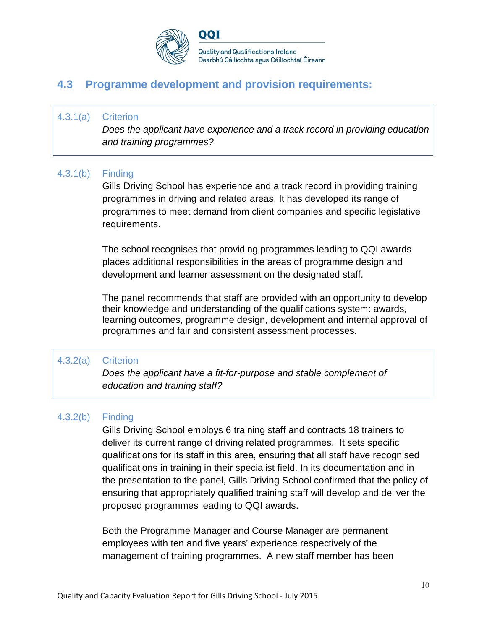

**Quality and Qualifications Ireland** Dearbhú Cáilíochta agus Cáilíochtaí Éireann

# **4.3 Programme development and provision requirements:**

#### 4.3.1(a) Criterion

*Does the applicant have experience and a track record in providing education and training programmes?*

#### 4.3.1(b) Finding

Gills Driving School has experience and a track record in providing training programmes in driving and related areas. It has developed its range of programmes to meet demand from client companies and specific legislative requirements.

The school recognises that providing programmes leading to QQI awards places additional responsibilities in the areas of programme design and development and learner assessment on the designated staff.

The panel recommends that staff are provided with an opportunity to develop their knowledge and understanding of the qualifications system: awards, learning outcomes, programme design, development and internal approval of programmes and fair and consistent assessment processes.

#### 4.3.2(a) Criterion

*Does the applicant have a fit-for-purpose and stable complement of education and training staff?*

#### 4.3.2(b) Finding

Gills Driving School employs 6 training staff and contracts 18 trainers to deliver its current range of driving related programmes. It sets specific qualifications for its staff in this area, ensuring that all staff have recognised qualifications in training in their specialist field. In its documentation and in the presentation to the panel, Gills Driving School confirmed that the policy of ensuring that appropriately qualified training staff will develop and deliver the proposed programmes leading to QQI awards.

Both the Programme Manager and Course Manager are permanent employees with ten and five years' experience respectively of the management of training programmes. A new staff member has been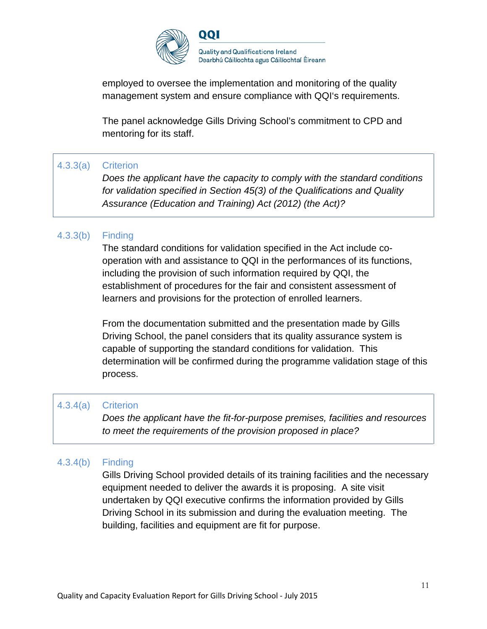

employed to oversee the implementation and monitoring of the quality management system and ensure compliance with QQI's requirements.

The panel acknowledge Gills Driving School's commitment to CPD and mentoring for its staff.

### 4.3.3(a) Criterion

*Does the applicant have the capacity to comply with the standard conditions for validation specified in Section 45(3) of the Qualifications and Quality Assurance (Education and Training) Act (2012) (the Act)?*

### 4.3.3(b) Finding

The standard conditions for validation specified in the Act include cooperation with and assistance to QQI in the performances of its functions, including the provision of such information required by QQI, the establishment of procedures for the fair and consistent assessment of learners and provisions for the protection of enrolled learners.

From the documentation submitted and the presentation made by Gills Driving School, the panel considers that its quality assurance system is capable of supporting the standard conditions for validation. This determination will be confirmed during the programme validation stage of this process.

### 4.3.4(a) Criterion

*Does the applicant have the fit-for-purpose premises, facilities and resources to meet the requirements of the provision proposed in place?*

### 4.3.4(b) Finding

Gills Driving School provided details of its training facilities and the necessary equipment needed to deliver the awards it is proposing. A site visit undertaken by QQI executive confirms the information provided by Gills Driving School in its submission and during the evaluation meeting. The building, facilities and equipment are fit for purpose.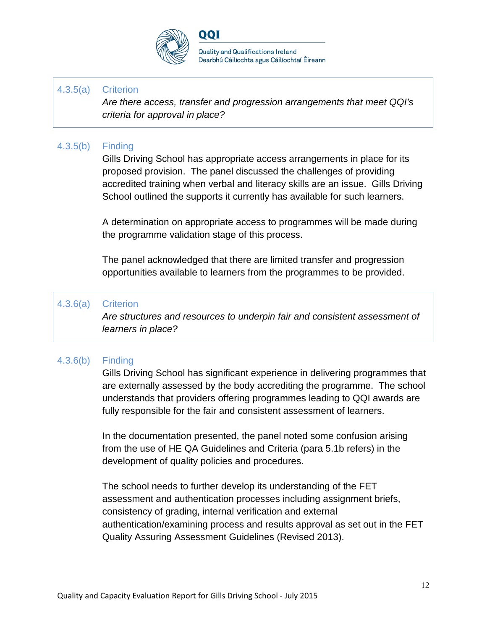

QQI

**Quality and Qualifications Ireland** Dearbhú Cáilíochta agus Cáilíochtaí Éireann

#### 4.3.5(a) Criterion

*Are there access, transfer and progression arrangements that meet QQI's criteria for approval in place?*

#### 4.3.5(b) Finding

Gills Driving School has appropriate access arrangements in place for its proposed provision. The panel discussed the challenges of providing accredited training when verbal and literacy skills are an issue. Gills Driving School outlined the supports it currently has available for such learners.

A determination on appropriate access to programmes will be made during the programme validation stage of this process.

The panel acknowledged that there are limited transfer and progression opportunities available to learners from the programmes to be provided.

#### 4.3.6(a) Criterion

*Are structures and resources to underpin fair and consistent assessment of learners in place?*

#### 4.3.6(b) Finding

Gills Driving School has significant experience in delivering programmes that are externally assessed by the body accrediting the programme. The school understands that providers offering programmes leading to QQI awards are fully responsible for the fair and consistent assessment of learners.

In the documentation presented, the panel noted some confusion arising from the use of HE QA Guidelines and Criteria (para 5.1b refers) in the development of quality policies and procedures.

The school needs to further develop its understanding of the FET assessment and authentication processes including assignment briefs, consistency of grading, internal verification and external authentication/examining process and results approval as set out in the FET Quality Assuring Assessment Guidelines (Revised 2013).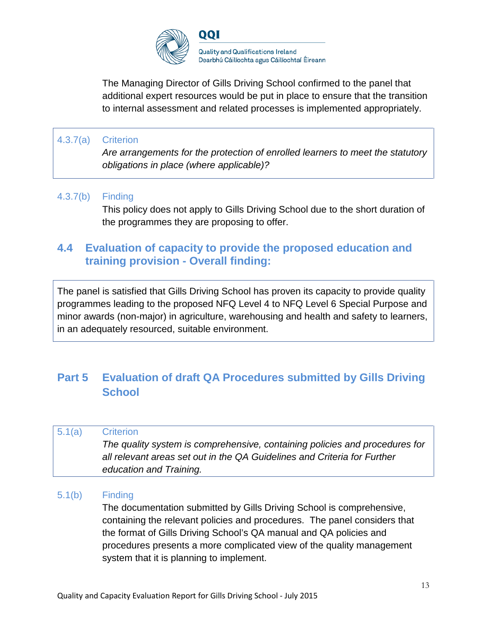

The Managing Director of Gills Driving School confirmed to the panel that additional expert resources would be put in place to ensure that the transition to internal assessment and related processes is implemented appropriately.

### 4.3.7(a) Criterion

*Are arrangements for the protection of enrolled learners to meet the statutory obligations in place (where applicable)?*

#### 4.3.7(b) Finding

This policy does not apply to Gills Driving School due to the short duration of the programmes they are proposing to offer.

# **4.4 Evaluation of capacity to provide the proposed education and training provision - Overall finding:**

The panel is satisfied that Gills Driving School has proven its capacity to provide quality programmes leading to the proposed NFQ Level 4 to NFQ Level 6 Special Purpose and minor awards (non-major) in agriculture, warehousing and health and safety to learners, in an adequately resourced, suitable environment.

# **Part 5 Evaluation of draft QA Procedures submitted by Gills Driving School**

# 5.1(a) Criterion *The quality system is comprehensive, containing policies and procedures for all relevant areas set out in the QA Guidelines and Criteria for Further education and Training.*

#### 5.1(b) Finding

The documentation submitted by Gills Driving School is comprehensive, containing the relevant policies and procedures. The panel considers that the format of Gills Driving School's QA manual and QA policies and procedures presents a more complicated view of the quality management system that it is planning to implement.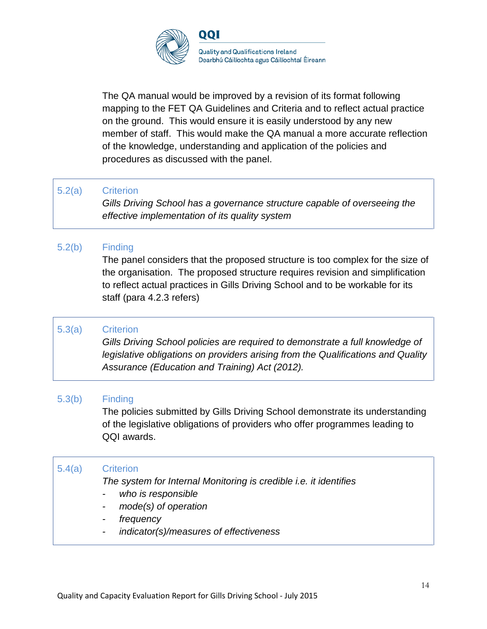

The QA manual would be improved by a revision of its format following mapping to the FET QA Guidelines and Criteria and to reflect actual practice on the ground. This would ensure it is easily understood by any new member of staff. This would make the QA manual a more accurate reflection of the knowledge, understanding and application of the policies and procedures as discussed with the panel.

#### 5.2(a) Criterion

*Gills Driving School has a governance structure capable of overseeing the effective implementation of its quality system*

### 5.2(b) Finding

The panel considers that the proposed structure is too complex for the size of the organisation. The proposed structure requires revision and simplification to reflect actual practices in Gills Driving School and to be workable for its staff (para 4.2.3 refers)

### 5.3(a) Criterion

*Gills Driving School policies are required to demonstrate a full knowledge of legislative obligations on providers arising from the Qualifications and Quality Assurance (Education and Training) Act (2012).*

#### 5.3(b) Finding

The policies submitted by Gills Driving School demonstrate its understanding of the legislative obligations of providers who offer programmes leading to QQI awards.

### 5.4(a) Criterion

*The system for Internal Monitoring is credible i.e. it identifies*

- *- who is responsible*
- *- mode(s) of operation*
- *- frequency*
- *- indicator(s)/measures of effectiveness*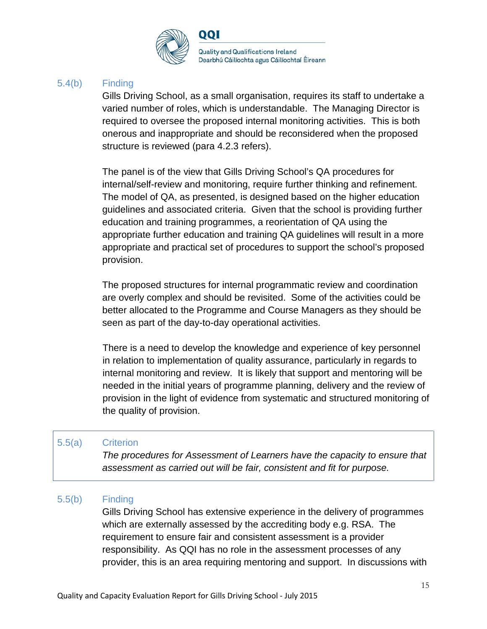

#### 5.4(b) Finding

Gills Driving School, as a small organisation, requires its staff to undertake a varied number of roles, which is understandable. The Managing Director is required to oversee the proposed internal monitoring activities. This is both onerous and inappropriate and should be reconsidered when the proposed structure is reviewed (para 4.2.3 refers).

The panel is of the view that Gills Driving School's QA procedures for internal/self-review and monitoring, require further thinking and refinement. The model of QA, as presented, is designed based on the higher education guidelines and associated criteria. Given that the school is providing further education and training programmes, a reorientation of QA using the appropriate further education and training QA guidelines will result in a more appropriate and practical set of procedures to support the school's proposed provision.

The proposed structures for internal programmatic review and coordination are overly complex and should be revisited. Some of the activities could be better allocated to the Programme and Course Managers as they should be seen as part of the day-to-day operational activities.

There is a need to develop the knowledge and experience of key personnel in relation to implementation of quality assurance, particularly in regards to internal monitoring and review. It is likely that support and mentoring will be needed in the initial years of programme planning, delivery and the review of provision in the light of evidence from systematic and structured monitoring of the quality of provision.

### 5.5(a) Criterion

*The procedures for Assessment of Learners have the capacity to ensure that assessment as carried out will be fair, consistent and fit for purpose.*

#### 5.5(b) Finding

Gills Driving School has extensive experience in the delivery of programmes which are externally assessed by the accrediting body e.g. RSA. The requirement to ensure fair and consistent assessment is a provider responsibility. As QQI has no role in the assessment processes of any provider, this is an area requiring mentoring and support. In discussions with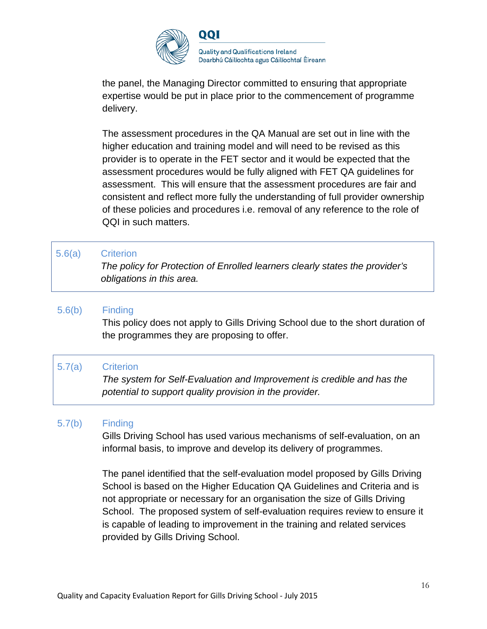

the panel, the Managing Director committed to ensuring that appropriate expertise would be put in place prior to the commencement of programme delivery.

The assessment procedures in the QA Manual are set out in line with the higher education and training model and will need to be revised as this provider is to operate in the FET sector and it would be expected that the assessment procedures would be fully aligned with FET QA guidelines for assessment. This will ensure that the assessment procedures are fair and consistent and reflect more fully the understanding of full provider ownership of these policies and procedures i.e. removal of any reference to the role of QQI in such matters.

#### 5.6(a) Criterion

*The policy for Protection of Enrolled learners clearly states the provider's obligations in this area.*

### 5.6(b) Finding

This policy does not apply to Gills Driving School due to the short duration of the programmes they are proposing to offer.

### 5.7(a) Criterion

*The system for Self-Evaluation and Improvement is credible and has the potential to support quality provision in the provider.*

#### 5.7(b) Finding

Gills Driving School has used various mechanisms of self-evaluation, on an informal basis, to improve and develop its delivery of programmes.

The panel identified that the self-evaluation model proposed by Gills Driving School is based on the Higher Education QA Guidelines and Criteria and is not appropriate or necessary for an organisation the size of Gills Driving School. The proposed system of self-evaluation requires review to ensure it is capable of leading to improvement in the training and related services provided by Gills Driving School.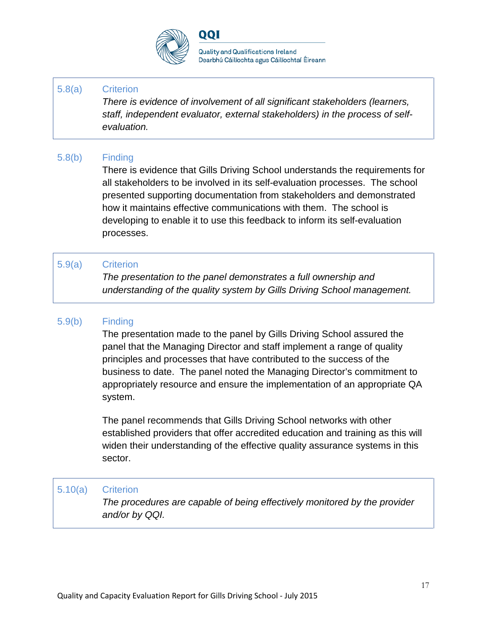

QQI

#### 5.8(a) Criterion

*There is evidence of involvement of all significant stakeholders (learners, staff, independent evaluator, external stakeholders) in the process of selfevaluation.*

#### 5.8(b) Finding

There is evidence that Gills Driving School understands the requirements for all stakeholders to be involved in its self-evaluation processes. The school presented supporting documentation from stakeholders and demonstrated how it maintains effective communications with them. The school is developing to enable it to use this feedback to inform its self-evaluation processes.

#### 5.9(a) Criterion

*The presentation to the panel demonstrates a full ownership and understanding of the quality system by Gills Driving School management.*

#### 5.9(b) Finding

The presentation made to the panel by Gills Driving School assured the panel that the Managing Director and staff implement a range of quality principles and processes that have contributed to the success of the business to date. The panel noted the Managing Director's commitment to appropriately resource and ensure the implementation of an appropriate QA system.

The panel recommends that Gills Driving School networks with other established providers that offer accredited education and training as this will widen their understanding of the effective quality assurance systems in this sector.

#### 5.10(a) Criterion

*The procedures are capable of being effectively monitored by the provider and/or by QQI.*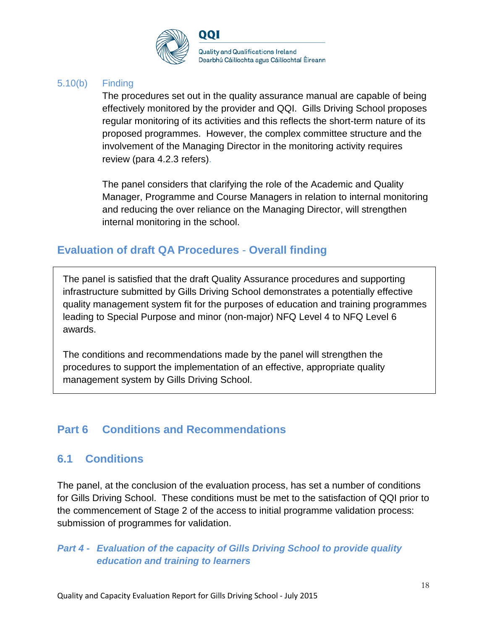

#### 5.10(b) Finding

The procedures set out in the quality assurance manual are capable of being effectively monitored by the provider and QQI. Gills Driving School proposes regular monitoring of its activities and this reflects the short-term nature of its proposed programmes. However, the complex committee structure and the involvement of the Managing Director in the monitoring activity requires review (para 4.2.3 refers).

The panel considers that clarifying the role of the Academic and Quality Manager, Programme and Course Managers in relation to internal monitoring and reducing the over reliance on the Managing Director, will strengthen internal monitoring in the school.

# **Evaluation of draft QA Procedures** - **Overall finding**

The panel is satisfied that the draft Quality Assurance procedures and supporting infrastructure submitted by Gills Driving School demonstrates a potentially effective quality management system fit for the purposes of education and training programmes leading to Special Purpose and minor (non-major) NFQ Level 4 to NFQ Level 6 awards.

The conditions and recommendations made by the panel will strengthen the procedures to support the implementation of an effective, appropriate quality management system by Gills Driving School.

# **Part 6 Conditions and Recommendations**

# **6.1 Conditions**

The panel, at the conclusion of the evaluation process, has set a number of conditions for Gills Driving School. These conditions must be met to the satisfaction of QQI prior to the commencement of Stage 2 of the access to initial programme validation process: submission of programmes for validation.

### *Part 4 - Evaluation of the capacity of Gills Driving School to provide quality education and training to learners*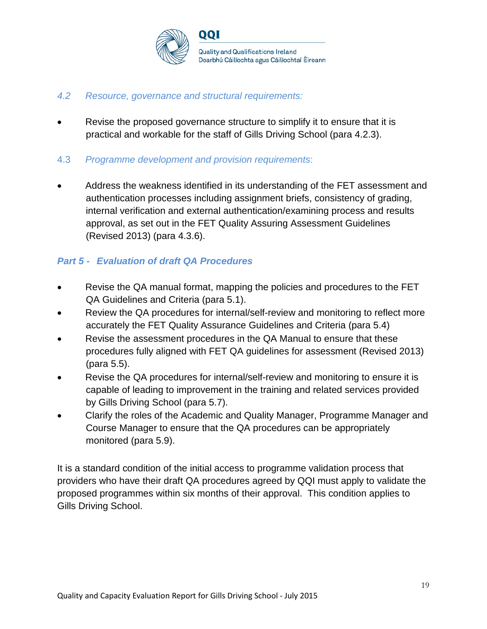

#### *4.2 Resource, governance and structural requirements:*

Revise the proposed governance structure to simplify it to ensure that it is practical and workable for the staff of Gills Driving School (para 4.2.3).

#### 4.3 *Programme development and provision requirements*:

• Address the weakness identified in its understanding of the FET assessment and authentication processes including assignment briefs, consistency of grading, internal verification and external authentication/examining process and results approval, as set out in the FET Quality Assuring Assessment Guidelines (Revised 2013) (para 4.3.6).

### *Part 5 - Evaluation of draft QA Procedures*

- Revise the QA manual format, mapping the policies and procedures to the FET QA Guidelines and Criteria (para 5.1).
- Review the QA procedures for internal/self-review and monitoring to reflect more accurately the FET Quality Assurance Guidelines and Criteria (para 5.4)
- Revise the assessment procedures in the QA Manual to ensure that these procedures fully aligned with FET QA guidelines for assessment (Revised 2013) (para 5.5).
- Revise the QA procedures for internal/self-review and monitoring to ensure it is capable of leading to improvement in the training and related services provided by Gills Driving School (para 5.7).
- Clarify the roles of the Academic and Quality Manager, Programme Manager and Course Manager to ensure that the QA procedures can be appropriately monitored (para 5.9).

It is a standard condition of the initial access to programme validation process that providers who have their draft QA procedures agreed by QQI must apply to validate the proposed programmes within six months of their approval. This condition applies to Gills Driving School.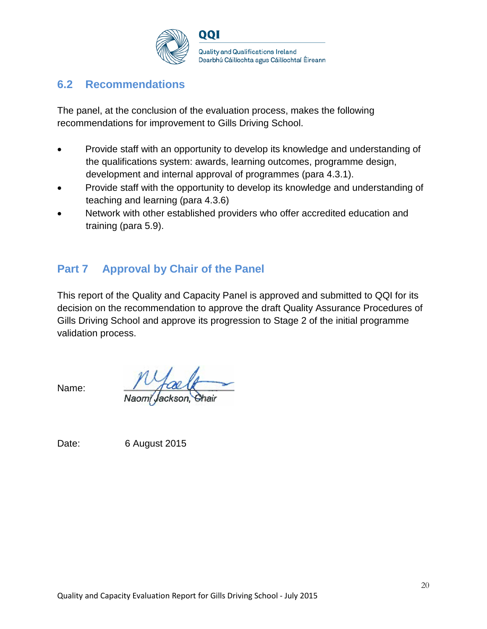

### **6.2 Recommendations**

The panel, at the conclusion of the evaluation process, makes the following recommendations for improvement to Gills Driving School.

- Provide staff with an opportunity to develop its knowledge and understanding of the qualifications system: awards, learning outcomes, programme design, development and internal approval of programmes (para 4.3.1).
- Provide staff with the opportunity to develop its knowledge and understanding of teaching and learning (para 4.3.6)
- Network with other established providers who offer accredited education and training (para 5.9).

# **Part 7 Approval by Chair of the Panel**

This report of the Quality and Capacity Panel is approved and submitted to QQI for its decision on the recommendation to approve the draft Quality Assurance Procedures of Gills Driving School and approve its progression to Stage 2 of the initial programme validation process.

Name:

Date: 6 August 2015